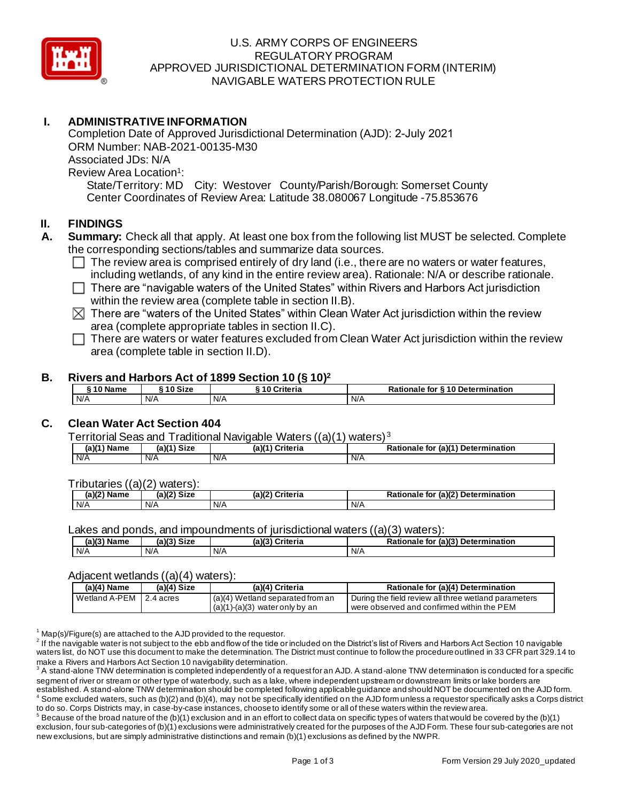

### U.S. ARMY CORPS OF ENGINEERS REGULATORY PROGRAM APPROVED JURISDICTIONAL DETERMINATION FORM (INTERIM) NAVIGABLE WATERS PROTECTION RULE

# **I. ADMINISTRATIVE INFORMATION**

Completion Date of Approved Jurisdictional Determination (AJD): 2-July 2021 ORM Number: NAB-2021-00135-M30 Associated JDs: N/A Review Area Location<sup>1</sup>: State/Territory: MD City: Westover County/Parish/Borough: Somerset County Center Coordinates of Review Area: Latitude 38.080067 Longitude -75.853676

## **II. FINDINGS**

- **A. Summary:** Check all that apply. At least one box from the following list MUST be selected. Complete the corresponding sections/tables and summarize data sources.
	- $\Box$  The review area is comprised entirely of dry land (i.e., there are no waters or water features, including wetlands, of any kind in the entire review area). Rationale: N/A or describe rationale.
	- $\Box$  There are "navigable waters of the United States" within Rivers and Harbors Act jurisdiction within the review area (complete table in section II.B).
	- $\boxtimes$  There are "waters of the United States" within Clean Water Act jurisdiction within the review area (complete appropriate tables in section II.C).
	- $\Box$  There are waters or water features excluded from Clean Water Act jurisdiction within the review area (complete table in section II.D).

#### **B. Rivers and Harbors Act of 1899 Section 10 (§ 10)<sup>2</sup>**

| ໍາ Name | ຳ Size | ' 0 Criteria | <b>§10 Determination</b><br>for<br>Rationale |
|---------|--------|--------------|----------------------------------------------|
| N/A     | N/A    | N/A          | N/A                                          |

# **C. Clean Water Act Section 404**

Territorial Seas and Traditional Navigable Waters ((a)(1) waters) <sup>3</sup>

| (a)(1)<br>Name | (a)( <sup>4)</sup><br>Size | (a) <sup>(4)</sup><br>Criteria | (a)(1) Determination<br>ב~ ה<br><b>Rationale</b><br>tor و |
|----------------|----------------------------|--------------------------------|-----------------------------------------------------------|
| N/A            | N/A                        | N/A                            | N/A                                                       |

Tributaries ((a)(2) waters):

| $\sqrt{a}$<br>ame<br>Νя<br>,,, | (a)(2)<br>e:-<br>ס וכ | (a)( <sup>r</sup><br>Criteria | $\overline{u}$ (a)(2) $\overline{r}$<br>Determination<br>'ional⊾<br>to. |
|--------------------------------|-----------------------|-------------------------------|-------------------------------------------------------------------------|
| N/A                            | N/A                   | N/A                           | N/A                                                                     |

Lakes and ponds, and impoundments of jurisdictional waters ((a)(3) waters):

| (a)(3) Name | $(a)(3)$ Size | (a)(3)<br>Criteria | (a)(3) Determination<br>Rationale<br>e for |
|-------------|---------------|--------------------|--------------------------------------------|
| N/A         | N/A           | N/A                | N/A                                        |

#### Adiacent wetlands ((a)(4) waters):

| $(a)(4)$ Name            | $(a)(4)$ Size | (a)(4) Criteria                                                        | Rationale for (a)(4) Determination                                                                 |
|--------------------------|---------------|------------------------------------------------------------------------|----------------------------------------------------------------------------------------------------|
| Wetland A-PEM 12.4 acres |               | $(a)(4)$ Wetland separated from an<br>$(a)(1)-(a)(3)$ water only by an | During the field review all three wetland parameters<br>were observed and confirmed within the PEM |

 $1$  Map(s)/Figure(s) are attached to the AJD provided to the requestor.

 $^2$  If the navigable water is not subject to the ebb and flow of the tide or included on the District's list of Rivers and Harbors Act Section 10 navigable waters list, do NOT use this document to make the determination. The District must continue to follow the procedure outlined in 33 CFR part 329.14 to make a Rivers and Harbors Act Section 10 navigability determination.

 $^3$  A stand-alone TNW determination is completed independently of a request for an AJD. A stand-alone TNW determination is conducted for a specific segment of river or stream or other type of waterbody, such as a lake, where independent upstream or downstream limits or lake borders are established. A stand-alone TNW determination should be completed following applicable guidance and should NOT be documented on the AJD form. Some excluded waters, such as (b)(2) and (b)(4), may not be specifically identified on the AJD form unless a requestor specifically asks a Corps district to do so. Corps Districts may, in case-by-case instances, choose to identify some or all of these waters within the review area.

 $^5$  Because of the broad nature of the (b)(1) exclusion and in an effort to collect data on specific types of waters that would be covered by the (b)(1) exclusion, four sub-categories of (b)(1) exclusions were administratively created for the purposes of the AJD Form. These four sub-categories are not new exclusions, but are simply administrative distinctions and remain (b)(1) exclusions as defined by the NWPR.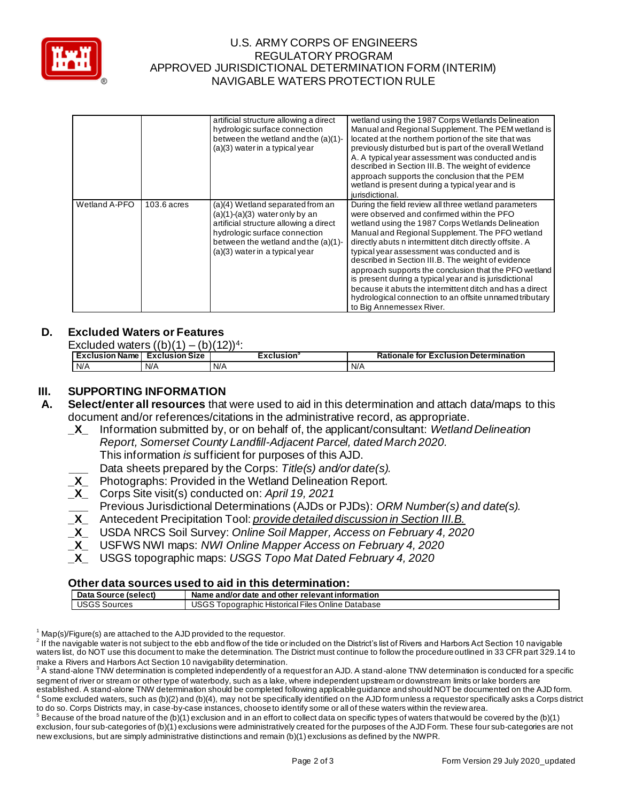

## U.S. ARMY CORPS OF ENGINEERS REGULATORY PROGRAM APPROVED JURISDICTIONAL DETERMINATION FORM (INTERIM) NAVIGABLE WATERS PROTECTION RULE

|               |               | artificial structure allowing a direct<br>hydrologic surface connection<br>between the wetland and the (a)(1)-<br>$(a)(3)$ water in a typical year                                                                         | wetland using the 1987 Corps Wetlands Delineation<br>Manual and Regional Supplement. The PEM wetland is<br>located at the northern portion of the site that was<br>previously disturbed but is part of the overall Wetland<br>A. A typical year assessment was conducted and is<br>described in Section III.B. The weight of evidence<br>approach supports the conclusion that the PEM<br>wetland is present during a typical year and is<br>jurisdictional.                                                                                                                                                                                      |
|---------------|---------------|----------------------------------------------------------------------------------------------------------------------------------------------------------------------------------------------------------------------------|---------------------------------------------------------------------------------------------------------------------------------------------------------------------------------------------------------------------------------------------------------------------------------------------------------------------------------------------------------------------------------------------------------------------------------------------------------------------------------------------------------------------------------------------------------------------------------------------------------------------------------------------------|
| Wetland A-PFO | $103.6$ acres | (a)(4) Wetland separated from an<br>$(a)(1)-(a)(3)$ water only by an<br>artificial structure allowing a direct<br>hydrologic surface connection<br>between the wetland and the (a)(1)-<br>$(a)(3)$ water in a typical year | During the field review all three wetland parameters<br>were observed and confirmed within the PFO<br>wetland using the 1987 Corps Wetlands Delineation<br>Manual and Regional Supplement. The PFO wetland<br>directly abuts n intermittent ditch directly offsite. A<br>typical year assessment was conducted and is<br>described in Section III.B. The weight of evidence<br>approach supports the conclusion that the PFO wetland<br>is present during a typical year and is jurisdictional<br>because it abuts the intermittent ditch and has a direct<br>hydrological connection to an offsite unnamed tributary<br>to Big Annemessex River. |

# **D. Excluded Waters or Features**

| Excluded waters $((b)(1) - (b)(c))$<br>. (h)(12))4· |                       |                        |                                              |  |
|-----------------------------------------------------|-----------------------|------------------------|----------------------------------------------|--|
| <b>Exclusion Name</b>                               | <b>Exclusion Size</b> | Exclusion <sup>®</sup> | <b>Rationale for Exclusion Determination</b> |  |
| N/A                                                 | N/A                   | N/A                    | N/A                                          |  |

## **III. SUPPORTING INFORMATION**

- **A. Select/enter all resources** that were used to aid in this determination and attach data/maps to this document and/or references/citations in the administrative record, as appropriate.
	- **\_X\_** Information submitted by, or on behalf of, the applicant/consultant: *Wetland Delineation Report, Somerset County Landfill-Adjacent Parcel, dated March 2020.* This information *is* sufficient for purposes of this AJD. Data sheets prepared by the Corps: *Title(s) and/or date(s).*
	-
	- **\_X\_** Photographs: Provided in the Wetland Delineation Report*.*
	- **\_X\_** Corps Site visit(s) conducted on: *April 19, 2021*
	- **\_\_\_** Previous Jurisdictional Determinations (AJDs or PJDs): *ORM Number(s) and date(s).*
	- **\_X\_** Antecedent Precipitation Tool: *provide detailed discussion in Section III.B.*
	- **\_X\_** USDA NRCS Soil Survey: *Online Soil Mapper, Access on February 4, 2020*
	- **\_X\_** USFWS NWI maps: *NWI Online Mapper Access on February 4, 2020*
	- **\_X\_** USGS topographic maps: *USGS Topo Mat Dated February 4, 2020*

#### **Other data sources used to aid in this determination:**

| Data<br>(select)<br>Source | e and other relevant information :<br>Name<br>and/or<br>date                                          |
|----------------------------|-------------------------------------------------------------------------------------------------------|
| 1000<br>Sources<br>บวษว    | $- \cdot \cdot$<br>$\cdots$<br>: Online Database<br>-iles<br>Topographic<br><b>Historical</b><br>いついつ |

 $1$  Map(s)/Figure(s) are attached to the AJD provided to the requestor.

 $^2$  If the navigable water is not subject to the ebb and flow of the tide or included on the District's list of Rivers and Harbors Act Section 10 navigable waters list, do NOT use this document to make the determination. The District must continue to follow the procedure outlined in 33 CFR part 329.14 to make a Rivers and Harbors Act Section 10 navigability determination.

 $^3$  A stand-alone TNW determination is completed independently of a request for an AJD. A stand-alone TNW determination is conducted for a specific segment of river or stream or other type of waterbody, such as a lake, where independent upstream or downstream limits or lake borders are established. A stand-alone TNW determination should be completed following applicable guidance and should NOT be documented on the AJD form. Some excluded waters, such as (b)(2) and (b)(4), may not be specifically identified on the AJD form unless a requestor specifically asks a Corps district

to do so. Corps Districts may, in case-by-case instances, choose to identify some or all of these waters within the review area.  $^5$  Because of the broad nature of the (b)(1) exclusion and in an effort to collect data on specific types of waters that would be covered by the (b)(1) exclusion, four sub-categories of (b)(1) exclusions were administratively created for the purposes of the AJD Form. These four sub-categories are not new exclusions, but are simply administrative distinctions and remain (b)(1) exclusions as defined by the NWPR.